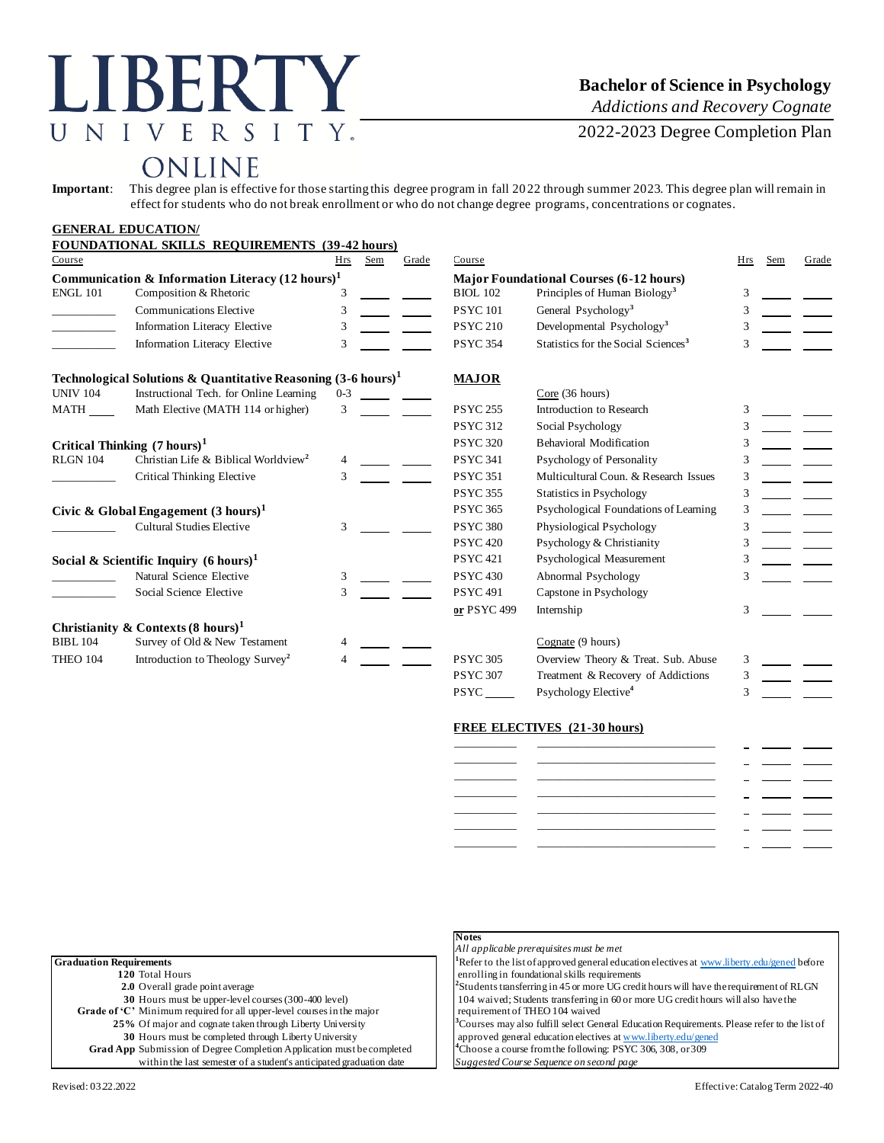# **LIBERTY** UNIVERSITY.

### **Bachelor of Science in Psychology**

*Addictions and Recovery Cognate*

2022-2023 Degree Completion Plan

## ONLINE

**Important**: This degree plan is effective for those starting this degree program in fall 2022 through summer 2023. This degree plan will remain in effect for students who do not break enrollment or who do not change degree programs, concentrations or cognates.

|                                                             | <b>GENERAL EDUCATION/</b>                                                |         |     |       |                                                |                                                 |     |     |       |
|-------------------------------------------------------------|--------------------------------------------------------------------------|---------|-----|-------|------------------------------------------------|-------------------------------------------------|-----|-----|-------|
|                                                             | <b>FOUNDATIONAL SKILLS REQUIREMENTS (39-42 hours)</b>                    |         |     |       |                                                |                                                 |     |     |       |
| Course                                                      |                                                                          | Hrs     | Sem | Grade | Course                                         |                                                 | Hrs | Sem | Grade |
| Communication & Information Literacy $(12 \text{ hours})^1$ |                                                                          |         |     |       | <b>Major Foundational Courses (6-12 hours)</b> |                                                 |     |     |       |
| <b>ENGL 101</b>                                             | Composition & Rhetoric                                                   | 3       |     |       | <b>BIOL 102</b>                                | Principles of Human Biology <sup>3</sup>        | 3   |     |       |
|                                                             | <b>Communications Elective</b>                                           | 3       |     |       | <b>PSYC101</b>                                 | General Psychology <sup>3</sup>                 | 3   |     |       |
|                                                             | Information Literacy Elective                                            | 3       |     |       | <b>PSYC 210</b>                                | Developmental Psychology <sup>3</sup>           |     |     |       |
|                                                             | Information Literacy Elective                                            | 3       |     |       | <b>PSYC 354</b>                                | Statistics for the Social Sciences <sup>3</sup> | 3   |     |       |
|                                                             | Technological Solutions & Quantitative Reasoning $(3-6 \text{ hours})^1$ |         |     |       | <b>MAJOR</b>                                   |                                                 |     |     |       |
| <b>UNIV 104</b>                                             | Instructional Tech. for Online Learning                                  | $0 - 3$ |     |       |                                                | Core(36 hours)                                  |     |     |       |
| $MATH$ <sub>____</sub>                                      | Math Elective (MATH 114 or higher)                                       | 3       |     |       | <b>PSYC 255</b>                                | Introduction to Research                        |     |     |       |
|                                                             |                                                                          |         |     |       | <b>PSYC 312</b>                                | Social Psychology                               | 3   |     |       |
| Critical Thinking $(7 \text{ hours})^1$                     |                                                                          |         |     |       | <b>PSYC 320</b>                                | <b>Behavioral Modification</b>                  | 3   |     |       |
| <b>RLGN 104</b>                                             | Christian Life & Biblical Worldview <sup>2</sup>                         |         |     |       | <b>PSYC 341</b>                                | Psychology of Personality                       | 3   |     |       |
|                                                             | Critical Thinking Elective                                               | 3       |     |       | <b>PSYC 351</b>                                | Multicultural Coun. & Research Issues           | 3   |     |       |
|                                                             |                                                                          |         |     |       | <b>PSYC 355</b>                                | <b>Statistics in Psychology</b>                 | 3   |     |       |
|                                                             | Civic & Global Engagement $(3 \text{ hours})^1$                          |         |     |       | <b>PSYC 365</b>                                | Psychological Foundations of Learning           | 3   |     |       |
|                                                             | <b>Cultural Studies Elective</b>                                         | 3       |     |       | <b>PSYC 380</b>                                | Physiological Psychology                        | 3   |     |       |
|                                                             |                                                                          |         |     |       | <b>PSYC 420</b>                                | Psychology & Christianity                       | 3   |     |       |
|                                                             | Social & Scientific Inquiry $(6 \text{ hours})^1$                        |         |     |       | <b>PSYC 421</b>                                | Psychological Measurement                       | 3   |     |       |
|                                                             | Natural Science Elective                                                 | 3       |     |       | <b>PSYC 430</b>                                | Abnormal Psychology                             |     |     |       |
|                                                             | Social Science Elective                                                  | 3       |     |       | <b>PSYC 491</b>                                | Capstone in Psychology                          |     |     |       |
|                                                             |                                                                          |         |     |       | or PSYC 499                                    | Internship                                      | 3   |     |       |
|                                                             | Christianity & Contexts $(8 \text{ hours})^1$                            |         |     |       |                                                |                                                 |     |     |       |
| <b>BIBL 104</b>                                             | Survey of Old & New Testament                                            |         |     |       |                                                | Cognate (9 hours)                               |     |     |       |
| THEO 104                                                    | Introduction to Theology Survey <sup>2</sup>                             |         |     |       | <b>PSYC 305</b>                                | Overview Theory & Treat. Sub. Abuse             | 3   |     |       |
|                                                             |                                                                          |         |     |       | <b>PSYC 307</b>                                | Treatment & Recovery of Addictions              | 3   |     |       |
|                                                             |                                                                          |         |     |       | <b>PSYC</b>                                    | Psychology Elective <sup>4</sup>                | 3   |     |       |

**Notes**

#### **FREE ELECTIVES (21-30 hours)**

|                | ________                                                                                                                                                                                                                             |                                   |  |
|----------------|--------------------------------------------------------------------------------------------------------------------------------------------------------------------------------------------------------------------------------------|-----------------------------------|--|
|                |                                                                                                                                                                                                                                      | <b>Contract Contract Contract</b> |  |
| ______________ |                                                                                                                                                                                                                                      |                                   |  |
|                |                                                                                                                                                                                                                                      |                                   |  |
|                |                                                                                                                                                                                                                                      |                                   |  |
|                | <u> Andreas Andreas Andreas Andreas Andreas Andreas Andreas Andreas Andreas Andreas Andreas Andreas Andreas Andreas Andreas Andreas Andreas Andreas Andreas Andreas Andreas Andreas Andreas Andreas Andreas Andreas Andreas Andr</u> |                                   |  |
|                |                                                                                                                                                                                                                                      |                                   |  |

|                                                                        | All applicable prerequisites must be met                                                                 |
|------------------------------------------------------------------------|----------------------------------------------------------------------------------------------------------|
| <b>Graduation Requirements</b>                                         | <sup>1</sup> Refer to the list of approved general education electives at www.liberty.edu/gened before   |
| 120 Total Hours                                                        | enrolling in foundational skills requirements                                                            |
| 2.0 Overall grade point average                                        | <sup>2</sup> Students transferring in 45 or more UG credit hours will have the requirement of RLGN       |
| 30 Hours must be upper-level courses (300-400 level)                   | 104 waived; Students transferring in 60 or more UG credit hours will also have the                       |
| Grade of 'C' Minimum required for all upper-level courses in the major | requirement of THEO 104 waived                                                                           |
| 25% Of major and cognate taken through Liberty University              | <sup>3</sup> Courses may also fulfill select General Education Requirements. Please refer to the list of |
| 30 Hours must be completed through Liberty University                  | approved general education electives at www.liberty.edu/gened                                            |
| Grad App Submission of Degree Completion Application must be completed | <sup>4</sup> Choose a course from the following: PSYC 306, 308, or 309                                   |
| within the last semester of a student's anticipated graduation date    | Suggested Course Sequence on second page                                                                 |

#### Revised: 03.22.2022 Effective: Catalog Term 2022-40